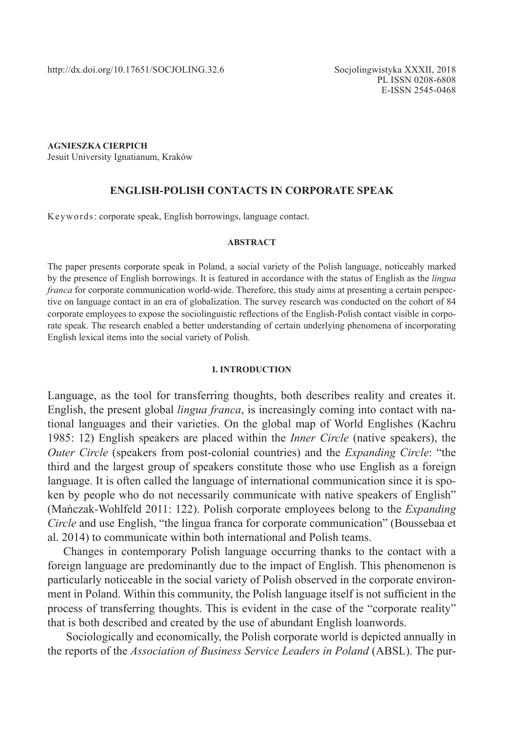**AGNIESZKA CIERPICH**

Jesuit University Ignatianum, Kraków

### **ENGLISH-POLISH CONTACTS IN CORPORATE SPEAK**

Keywords: corporate speak, English borrowings, language contact.

#### **ABSTRACT**

The paper presents corporate speak in Poland, a social variety of the Polish language, noticeably marked by the presence of English borrowings. It is featured in accordance with the status of English as the *lingua franca* for corporate communication world-wide. Therefore, this study aims at presenting a certain perspective on language contact in an era of globalization. The survey research was conducted on the cohort of 84 corporate employees to expose the sociolinguistic reflections of the English-Polish contact visible in corporate speak. The research enabled a better understanding of certain underlying phenomena of incorporating English lexical items into the social variety of Polish*.*

#### **I. INTRODUCTION**

Language, as the tool for transferring thoughts, both describes reality and creates it. English, the present global *lingua franca*, is increasingly coming into contact with national languages and their varieties. On the global map of World Englishes (Kachru 1985: 12) English speakers are placed within the *Inner Circle* (native speakers), the *Outer Circle* (speakers from post-colonial countries) and the *Expanding Circle*: "the third and the largest group of speakers constitute those who use English as a foreign language. It is often called the language of international communication since it is spoken by people who do not necessarily communicate with native speakers of English" (Mańczak-Wohlfeld 2011: 122). Polish corporate employees belong to the *Expanding Circle* and use English, "the lingua franca for corporate communication" (Boussebaa et al. 2014) to communicate within both international and Polish teams.

Changes in contemporary Polish language occurring thanks to the contact with a foreign language are predominantly due to the impact of English. This phenomenon is particularly noticeable in the social variety of Polish observed in the corporate environment in Poland. Within this community, the Polish language itself is not sufficient in the process of transferring thoughts. This is evident in the case of the "corporate reality" that is both described and created by the use of abundant English loanwords.

 Sociologically and economically, the Polish corporate world is depicted annually in the reports of the *Association of Business Service Leaders in Poland* (ABSL). The pur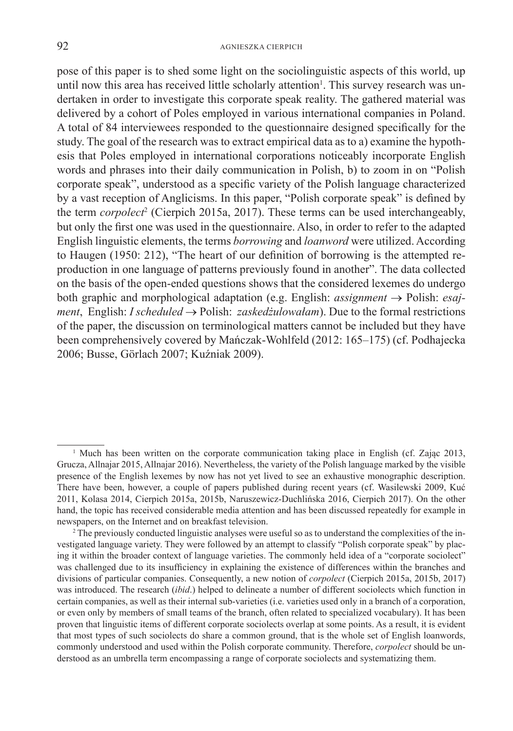pose of this paper is to shed some light on the sociolinguistic aspects of this world, up until now this area has received little scholarly attention<sup>1</sup>. This survey research was undertaken in order to investigate this corporate speak reality. The gathered material was delivered by a cohort of Poles employed in various international companies in Poland. A total of 84 interviewees responded to the questionnaire designed specifically for the study. The goal of the research was to extract empirical data as to a) examine the hypothesis that Poles employed in international corporations noticeably incorporate English words and phrases into their daily communication in Polish, b) to zoom in on "Polish corporate speak", understood as a specific variety of the Polish language characterized by a vast reception of Anglicisms. In this paper, "Polish corporate speak" is defined by the term *corpolect<sup>2</sup>* (Cierpich 2015a, 2017). These terms can be used interchangeably, but only the first one was used in the questionnaire. Also, in order to refer to the adapted English linguistic elements, the terms *borrowing* and *loanword* were utilized. According to Haugen (1950: 212), "The heart of our definition of borrowing is the attempted reproduction in one language of patterns previously found in another". The data collected on the basis of the open-ended questions shows that the considered lexemes do undergo both graphic and morphological adaptation (e.g. English: *assignment* → Polish: *esajment*, English: *I scheduled* → Polish: *zaskedżulowałam*). Due to the formal restrictions of the paper, the discussion on terminological matters cannot be included but they have been comprehensively covered by Mańczak-Wohlfeld (2012: 165–175) (cf. Podhajecka 2006; Busse, Görlach 2007; Kuźniak 2009).

<sup>&</sup>lt;sup>1</sup> Much has been written on the corporate communication taking place in English (cf. Zając 2013, Grucza, Allnajar 2015, Allnajar 2016). Nevertheless, the variety of the Polish language marked by the visible presence of the English lexemes by now has not yet lived to see an exhaustive monographic description. There have been, however, a couple of papers published during recent years (cf. Wasilewski 2009, Kuć 2011, Kolasa 2014, Cierpich 2015a, 2015b, Naruszewicz-Duchlińska 2016, Cierpich 2017). On the other hand, the topic has received considerable media attention and has been discussed repeatedly for example in newspapers, on the Internet and on breakfast television.

<sup>&</sup>lt;sup>2</sup> The previously conducted linguistic analyses were useful so as to understand the complexities of the investigated language variety. They were followed by an attempt to classify "Polish corporate speak" by placing it within the broader context of language varieties. The commonly held idea of a "corporate sociolect" was challenged due to its insufficiency in explaining the existence of differences within the branches and divisions of particular companies. Consequently, a new notion of *corpolect* (Cierpich 2015a, 2015b, 2017) was introduced. The research (*ibid*.) helped to delineate a number of different sociolects which function in certain companies, as well as their internal sub-varieties (i.e. varieties used only in a branch of a corporation, or even only by members of small teams of the branch, often related to specialized vocabulary). It has been proven that linguistic items of different corporate sociolects overlap at some points. As a result, it is evident that most types of such sociolects do share a common ground, that is the whole set of English loanwords, commonly understood and used within the Polish corporate community. Therefore, *corpolect* should be understood as an umbrella term encompassing a range of corporate sociolects and systematizing them.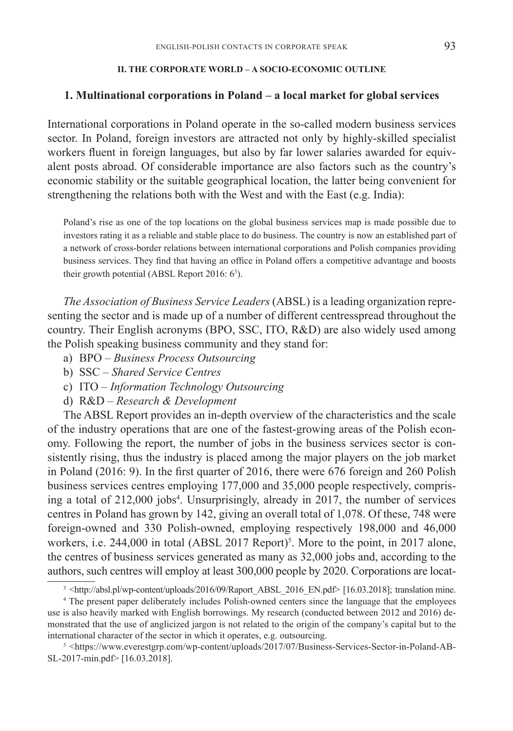### **II. THE CORPORATE WORLD – A SOCIO-ECONOMIC OUTLINE**

### **1. Multinational corporations in Poland – a local market for global services**

International corporations in Poland operate in the so-called modern business services sector. In Poland, foreign investors are attracted not only by highly-skilled specialist workers fluent in foreign languages, but also by far lower salaries awarded for equivalent posts abroad. Of considerable importance are also factors such as the country's economic stability or the suitable geographical location, the latter being convenient for strengthening the relations both with the West and with the East (e.g. India):

Poland's rise as one of the top locations on the global business services map is made possible due to investors rating it as a reliable and stable place to do business. The country is now an established part of a network of cross-border relations between international corporations and Polish companies providing business services. They find that having an office in Poland offers a competitive advantage and boosts their growth potential (ABSL Report 2016:  $6<sup>3</sup>$ ).

*The Association of Business Service Leaders* (ABSL) is a leading organization representing the sector and is made up of a number of different centresspread throughout the country. Their English acronyms (BPO, SSC, ITO, R&D) are also widely used among the Polish speaking business community and they stand for:

- a) BPO *Business Process Outsourcing*
- b) SSC *Shared Service Centres*
- c) ITO *Information Technology Outsourcing*
- d) R&D *Research & Development*

The ABSL Report provides an in-depth overview of the characteristics and the scale of the industry operations that are one of the fastest-growing areas of the Polish economy. Following the report, the number of jobs in the business services sector is consistently rising, thus the industry is placed among the major players on the job market in Poland (2016: 9). In the first quarter of 2016, there were 676 foreign and 260 Polish business services centres employing 177,000 and 35,000 people respectively, comprising a total of 212,000 jobs<sup>4</sup>. Unsurprisingly, already in 2017, the number of services centres in Poland has grown by 142, giving an overall total of 1,078. Of these, 748 were foreign-owned and 330 Polish-owned, employing respectively 198,000 and 46,000 workers, i.e.  $244,000$  in total (ABSL 2017 Report)<sup>5</sup>. More to the point, in 2017 alone, the centres of business services generated as many as 32,000 jobs and, according to the authors, such centres will employ at least 300,000 people by 2020. Corporations are locat-

<sup>&</sup>lt;sup>3</sup> <http://absl.pl/wp-content/uploads/2016/09/Raport\_ABSL\_2016\_EN.pdf> [16.03.2018]; translation mine.

<sup>4</sup> The present paper deliberately includes Polish-owned centers since the language that the employees use is also heavily marked with English borrowings. My research (conducted between 2012 and 2016) demonstrated that the use of anglicized jargon is not related to the origin of the company's capital but to the international character of the sector in which it operates, e.g. outsourcing. 5

<sup>&</sup>lt;https://www.everestgrp.com/wp-content/uploads/2017/07/Business-Services-Sector-in-Poland-AB-SL-2017-min.pdf> [16.03.2018].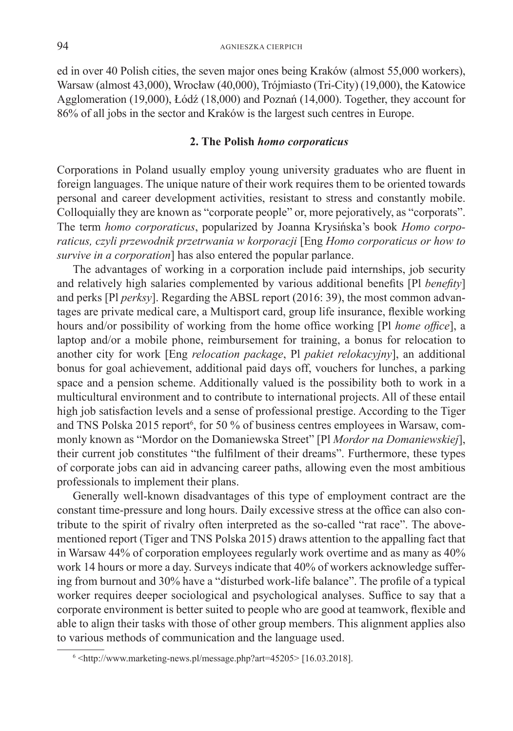ed in over 40 Polish cities, the seven major ones being Kraków (almost 55,000 workers), Warsaw (almost 43,000), Wrocław (40,000), Trójmiasto (Tri-City) (19,000), the Katowice Agglomeration (19,000), Łódź (18,000) and Poznań (14,000). Together, they account for 86% of all jobs in the sector and Kraków is the largest such centres in Europe.

### **2. The Polish** *homo corporaticus*

Corporations in Poland usually employ young university graduates who are fluent in foreign languages. The unique nature of their work requires them to be oriented towards personal and career development activities, resistant to stress and constantly mobile. Colloquially they are known as "corporate people" or, more pejoratively, as "corporats". The term *homo corporaticus*, popularized by Joanna Krysińska's book *Homo corporaticus, czyli przewodnik przetrwania w korporacji* [Eng *Homo corporaticus or how to survive in a corporation*] has also entered the popular parlance.

The advantages of working in a corporation include paid internships, job security and relatively high salaries complemented by various additional benefits [Pl *benefity*] and perks [Pl *perksy*]. Regarding the ABSL report (2016: 39), the most common advantages are private medical care, a Multisport card, group life insurance, flexible working hours and/or possibility of working from the home office working [Pl *home office*], a laptop and/or a mobile phone, reimbursement for training, a bonus for relocation to another city for work [Eng *relocation package*, Pl *pakiet relokacyjny*], an additional bonus for goal achievement, additional paid days off, vouchers for lunches, a parking space and a pension scheme. Additionally valued is the possibility both to work in a multicultural environment and to contribute to international projects. All of these entail high job satisfaction levels and a sense of professional prestige. According to the Tiger and TNS Polska 2015 report<sup>6</sup>, for 50 % of business centres employees in Warsaw, commonly known as "Mordor on the Domaniewska Street" [Pl *Mordor na Domaniewskiej*], their current job constitutes "the fulfilment of their dreams". Furthermore, these types of corporate jobs can aid in advancing career paths, allowing even the most ambitious professionals to implement their plans.

Generally well-known disadvantages of this type of employment contract are the constant time-pressure and long hours. Daily excessive stress at the office can also contribute to the spirit of rivalry often interpreted as the so-called "rat race". The abovementioned report (Tiger and TNS Polska 2015) draws attention to the appalling fact that in Warsaw 44% of corporation employees regularly work overtime and as many as 40% work 14 hours or more a day. Surveys indicate that 40% of workers acknowledge suffering from burnout and 30% have a "disturbed work-life balance". The profile of a typical worker requires deeper sociological and psychological analyses. Suffice to say that a corporate environment is better suited to people who are good at teamwork, flexible and able to align their tasks with those of other group members. This alignment applies also to various methods of communication and the language used.

 $6$  <http://www.marketing-news.pl/message.php?art=45205>[16.03.2018].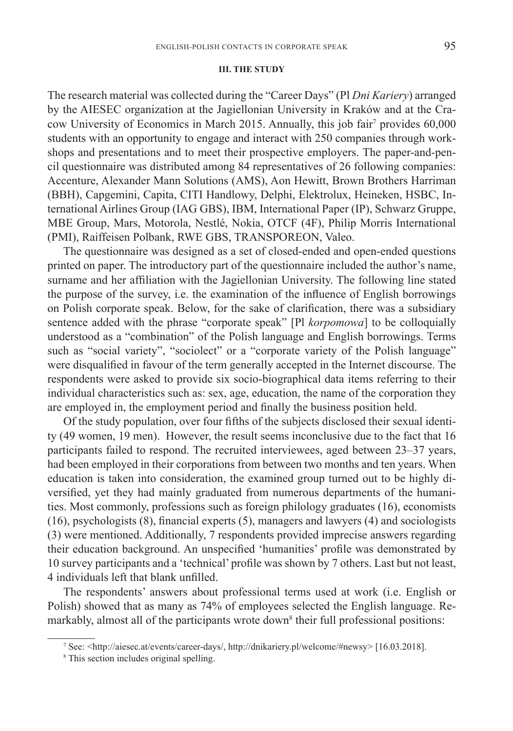#### **III. THE STUDY**

The research material was collected during the "Career Days" (Pl *Dni Kariery*) arranged by the AIESEC organization at the Jagiellonian University in Kraków and at the Cracow University of Economics in March 2015. Annually, this job fair7 provides 60,000 students with an opportunity to engage and interact with 250 companies through workshops and presentations and to meet their prospective employers. The paper-and-pencil questionnaire was distributed among 84 representatives of 26 following companies: Accenture, Alexander Mann Solutions (AMS), Aon Hewitt, Brown Brothers Harriman (BBH), Capgemini, Capita, CITI Handlowy, Delphi, Elektrolux, Heineken, HSBC, International Airlines Group (IAG GBS), IBM, International Paper (IP), Schwarz Gruppe, MBE Group, Mars, Motorola, Nestlé, Nokia, OTCF (4F), Philip Morris International (PMI), Raiffeisen Polbank, RWE GBS, TRANSPOREON, Valeo.

The questionnaire was designed as a set of closed-ended and open-ended questions printed on paper. The introductory part of the questionnaire included the author's name, surname and her affiliation with the Jagiellonian University. The following line stated the purpose of the survey, i.e. the examination of the influence of English borrowings on Polish corporate speak. Below, for the sake of clarification, there was a subsidiary sentence added with the phrase "corporate speak" [Pl *korpomowa*] to be colloquially understood as a "combination" of the Polish language and English borrowings. Terms such as "social variety", "sociolect" or a "corporate variety of the Polish language" were disqualified in favour of the term generally accepted in the Internet discourse. The respondents were asked to provide six socio-biographical data items referring to their individual characteristics such as: sex, age, education, the name of the corporation they are employed in, the employment period and finally the business position held.

Of the study population, over four fifths of the subjects disclosed their sexual identity (49 women, 19 men). However, the result seems inconclusive due to the fact that 16 participants failed to respond. The recruited interviewees, aged between 23–37 years, had been employed in their corporations from between two months and ten years. When education is taken into consideration, the examined group turned out to be highly diversified, yet they had mainly graduated from numerous departments of the humanities. Most commonly, professions such as foreign philology graduates (16), economists (16), psychologists (8), financial experts (5), managers and lawyers (4) and sociologists (3) were mentioned. Additionally, 7 respondents provided imprecise answers regarding their education background. An unspecified 'humanities' profile was demonstrated by 10 survey participants and a 'technical' profile was shown by 7 others. Last but not least, 4 individuals left that blank unfilled.

The respondents' answers about professional terms used at work (i.e. English or Polish) showed that as many as 74% of employees selected the English language. Remarkably, almost all of the participants wrote down<sup>8</sup> their full professional positions:

<sup>7</sup> See: <http://aiesec.at/events/career-days/, http://dnikariery.pl/welcome/#newsy> [16.03.2018].

<sup>8</sup> This section includes original spelling.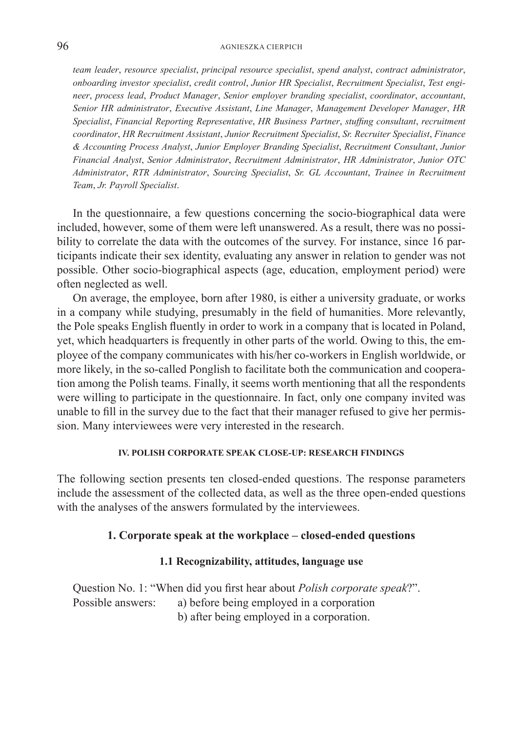#### AGNIESZKA CIERPICH

*team leader*, *resource specialist*, *principal resource specialist*, *spend analyst*, *contract administrator*, *onboarding investor specialist*, *credit control*, *Junior HR Specialist*, *Recruitment Specialist*, *Test engineer*, *process lead*, *Product Manager*, *Senior employer branding specialist*, *coordinator*, *accountant*, *Senior HR administrator*, *Executive Assistant*, *Line Manager*, *Management Developer Manager*, *HR Specialist*, *Financial Reporting Representative*, *HR Business Partner*, *stuffing consultant*, *recruitment coordinator*, *HR Recruitment Assistant*, *Junior Recruitment Specialist*, *Sr. Recruiter Specialist*, *Finance & Accounting Process Analyst*, *Junior Employer Branding Specialist*, *Recruitment Consultant*, *Junior Financial Analyst*, *Senior Administrator*, *Recruitment Administrator*, *HR Administrator*, *Junior OTC Administrator*, *RTR Administrator*, *Sourcing Specialist*, *Sr. GL Accountant*, *Trainee in Recruitment Team*, *Jr. Payroll Specialist*.

In the questionnaire, a few questions concerning the socio-biographical data were included, however, some of them were left unanswered. As a result, there was no possibility to correlate the data with the outcomes of the survey. For instance, since 16 participants indicate their sex identity, evaluating any answer in relation to gender was not possible. Other socio-biographical aspects (age, education, employment period) were often neglected as well.

On average, the employee, born after 1980, is either a university graduate, or works in a company while studying, presumably in the field of humanities. More relevantly, the Pole speaks English fluently in order to work in a company that is located in Poland, yet, which headquarters is frequently in other parts of the world. Owing to this, the employee of the company communicates with his/her co-workers in English worldwide, or more likely, in the so-called Ponglish to facilitate both the communication and cooperation among the Polish teams. Finally, it seems worth mentioning that all the respondents were willing to participate in the questionnaire. In fact, only one company invited was unable to fill in the survey due to the fact that their manager refused to give her permission. Many interviewees were very interested in the research.

### **IV. POLISH CORPORATE SPEAK CLOSE-UP: RESEARCH FINDINGS**

The following section presents ten closed-ended questions. The response parameters include the assessment of the collected data, as well as the three open-ended questions with the analyses of the answers formulated by the interviewees.

### **1. Corporate speak at the workplace – closed-ended questions**

### **1.1 Recognizability, attitudes, language use**

Question No. 1: "When did you first hear about *Polish corporate speak*?". Possible answers: a) before being employed in a corporation b) after being employed in a corporation.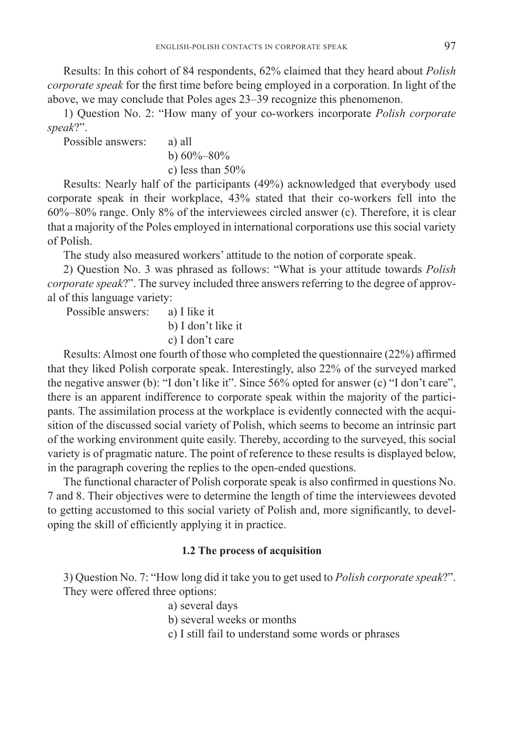Results: In this cohort of 84 respondents, 62% claimed that they heard about *Polish corporate speak* for the first time before being employed in a corporation. In light of the above, we may conclude that Poles ages 23–39 recognize this phenomenon.

1) Question No. 2: "How many of your co-workers incorporate *Polish corporate speak*?".

Possible answers: a) all

b)  $60\% - 80\%$ 

c) less than 50%

Results: Nearly half of the participants (49%) acknowledged that everybody used corporate speak in their workplace, 43% stated that their co-workers fell into the 60%–80% range. Only 8% of the interviewees circled answer (c). Therefore, it is clear that a majority of the Poles employed in international corporations use this social variety of Polish.

The study also measured workers' attitude to the notion of corporate speak.

2) Question No. 3 was phrased as follows: "What is your attitude towards *Polish corporate speak*?". The survey included three answers referring to the degree of approval of this language variety:

Possible answers: a) I like it

b) I don't like it

c) I don't care

Results: Almost one fourth of those who completed the questionnaire (22%) affirmed that they liked Polish corporate speak. Interestingly, also 22% of the surveyed marked the negative answer (b): "I don't like it". Since 56% opted for answer (c) "I don't care", there is an apparent indifference to corporate speak within the majority of the participants. The assimilation process at the workplace is evidently connected with the acquisition of the discussed social variety of Polish, which seems to become an intrinsic part of the working environment quite easily. Thereby, according to the surveyed, this social variety is of pragmatic nature. The point of reference to these results is displayed below, in the paragraph covering the replies to the open-ended questions.

The functional character of Polish corporate speak is also confirmed in questions No. 7 and 8. Their objectives were to determine the length of time the interviewees devoted to getting accustomed to this social variety of Polish and, more significantly, to developing the skill of efficiently applying it in practice.

## **1.2 The process of acquisition**

3) Question No. 7: "How long did it take you to get used to *Polish corporate speak*?". They were offered three options:

a) several days

b) several weeks or months

c) I still fail to understand some words or phrases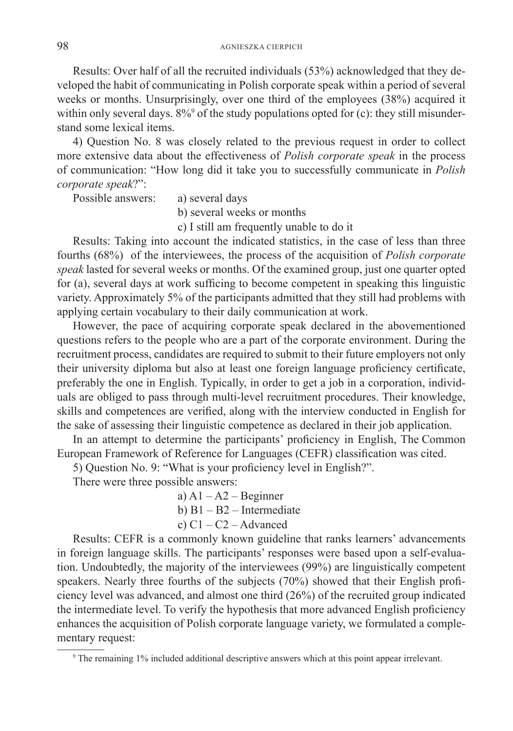Results: Over half of all the recruited individuals (53%) acknowledged that they developed the habit of communicating in Polish corporate speak within a period of several weeks or months. Unsurprisingly, over one third of the employees (38%) acquired it within only several days.  $8\%$ <sup>9</sup> of the study populations opted for (c): they still misunderstand some lexical items.

4) Question No. 8 was closely related to the previous request in order to collect more extensive data about the effectiveness of *Polish corporate speak* in the process of communication: "How long did it take you to successfully communicate in *Polish corporate speak*?":

Possible answers: a) several days

b) several weeks or months

c) I still am frequently unable to do it

Results: Taking into account the indicated statistics, in the case of less than three fourths (68%) of the interviewees, the process of the acquisition of *Polish corporate speak* lasted for several weeks or months. Of the examined group, just one quarter opted for (a), several days at work sufficing to become competent in speaking this linguistic variety. Approximately 5% of the participants admitted that they still had problems with applying certain vocabulary to their daily communication at work.

However, the pace of acquiring corporate speak declared in the abovementioned questions refers to the people who are a part of the corporate environment. During the recruitment process, candidates are required to submit to their future employers not only their university diploma but also at least one foreign language proficiency certificate, preferably the one in English. Typically, in order to get a job in a corporation, individuals are obliged to pass through multi-level recruitment procedures. Their knowledge, skills and competences are verified, along with the interview conducted in English for the sake of assessing their linguistic competence as declared in their job application.

In an attempt to determine the participants' proficiency in English, The Common European Framework of Reference for Languages (CEFR) classification was cited.

5) Question No. 9: "What is your proficiency level in English?".

There were three possible answers:

a)  $A1 - A2 - B$ eginner

b) B1 – B2 – Intermediate

c)  $C1 - C2 -$ Advanced

Results: CEFR is a commonly known guideline that ranks learners' advancements in foreign language skills. The participants' responses were based upon a self-evaluation. Undoubtedly, the majority of the interviewees (99%) are linguistically competent speakers. Nearly three fourths of the subjects (70%) showed that their English proficiency level was advanced, and almost one third (26%) of the recruited group indicated the intermediate level. To verify the hypothesis that more advanced English proficiency enhances the acquisition of Polish corporate language variety, we formulated a complementary request:

<sup>9</sup> The remaining 1% included additional descriptive answers which at this point appear irrelevant.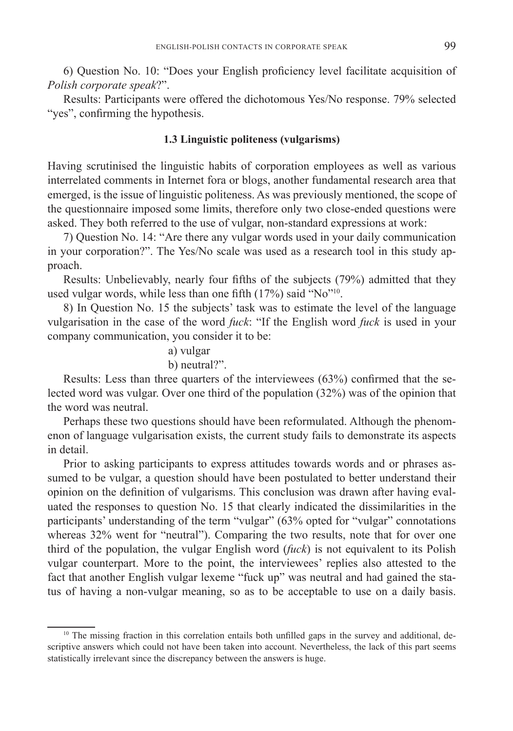6) Question No. 10: "Does your English proficiency level facilitate acquisition of *Polish corporate speak*?".

Results: Participants were offered the dichotomous Yes/No response. 79% selected "yes", confirming the hypothesis.

### **1.3 Linguistic politeness (vulgarisms)**

Having scrutinised the linguistic habits of corporation employees as well as various interrelated comments in Internet fora or blogs, another fundamental research area that emerged, is the issue of linguistic politeness. As was previously mentioned, the scope of the questionnaire imposed some limits, therefore only two close-ended questions were asked. They both referred to the use of vulgar, non-standard expressions at work:

7) Question No. 14: "Are there any vulgar words used in your daily communication in your corporation?". The Yes/No scale was used as a research tool in this study approach.

Results: Unbelievably, nearly four fifths of the subjects (79%) admitted that they used vulgar words, while less than one fifth (17%) said "No"<sup>10</sup>.

8) In Question No. 15 the subjects' task was to estimate the level of the language vulgarisation in the case of the word *fuck*: "If the English word *fuck* is used in your company communication, you consider it to be:

# a) vulgar

## b) neutral?".

Results: Less than three quarters of the interviewees (63%) confirmed that the selected word was vulgar. Over one third of the population (32%) was of the opinion that the word was neutral.

Perhaps these two questions should have been reformulated. Although the phenomenon of language vulgarisation exists, the current study fails to demonstrate its aspects in detail.

Prior to asking participants to express attitudes towards words and or phrases assumed to be vulgar, a question should have been postulated to better understand their opinion on the definition of vulgarisms. This conclusion was drawn after having evaluated the responses to question No. 15 that clearly indicated the dissimilarities in the participants' understanding of the term "vulgar" (63% opted for "vulgar" connotations whereas 32% went for "neutral"). Comparing the two results, note that for over one third of the population, the vulgar English word (*fuck*) is not equivalent to its Polish vulgar counterpart. More to the point, the interviewees' replies also attested to the fact that another English vulgar lexeme "fuck up" was neutral and had gained the status of having a non-vulgar meaning, so as to be acceptable to use on a daily basis.

<sup>&</sup>lt;sup>10</sup> The missing fraction in this correlation entails both unfilled gaps in the survey and additional, descriptive answers which could not have been taken into account. Nevertheless, the lack of this part seems statistically irrelevant since the discrepancy between the answers is huge.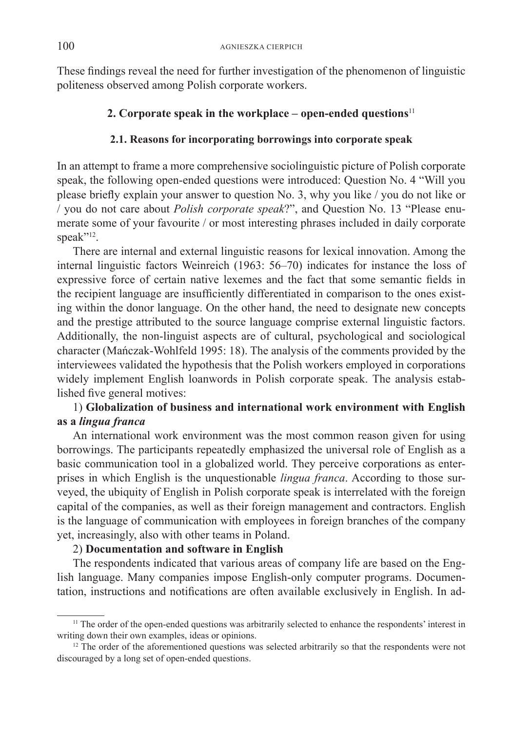These findings reveal the need for further investigation of the phenomenon of linguistic politeness observed among Polish corporate workers.

## **2. Corporate speak in the workplace – open-ended questions**<sup>11</sup>

## **2.1. Reasons for incorporating borrowings into corporate speak**

In an attempt to frame a more comprehensive sociolinguistic picture of Polish corporate speak, the following open-ended questions were introduced: Question No. 4 "Will you please briefly explain your answer to question No. 3, why you like / you do not like or / you do not care about *Polish corporate speak*?", and Question No. 13 "Please enumerate some of your favourite / or most interesting phrases included in daily corporate speak"<sup>12</sup>.

There are internal and external linguistic reasons for lexical innovation. Among the internal linguistic factors Weinreich (1963: 56–70) indicates for instance the loss of expressive force of certain native lexemes and the fact that some semantic fields in the recipient language are insufficiently differentiated in comparison to the ones existing within the donor language. On the other hand, the need to designate new concepts and the prestige attributed to the source language comprise external linguistic factors. Additionally, the non-linguist aspects are of cultural, psychological and sociological character (Mańczak-Wohlfeld 1995: 18). The analysis of the comments provided by the interviewees validated the hypothesis that the Polish workers employed in corporations widely implement English loanwords in Polish corporate speak. The analysis established five general motives:

# 1) **Globalization of business and international work environment with English as a** *lingua franca*

An international work environment was the most common reason given for using borrowings. The participants repeatedly emphasized the universal role of English as a basic communication tool in a globalized world. They perceive corporations as enterprises in which English is the unquestionable *lingua franca*. According to those surveyed, the ubiquity of English in Polish corporate speak is interrelated with the foreign capital of the companies, as well as their foreign management and contractors. English is the language of communication with employees in foreign branches of the company yet, increasingly, also with other teams in Poland.

# 2) **Documentation and software in English**

The respondents indicated that various areas of company life are based on the English language. Many companies impose English-only computer programs. Documentation, instructions and notifications are often available exclusively in English. In ad-

<sup>&</sup>lt;sup>11</sup> The order of the open-ended questions was arbitrarily selected to enhance the respondents' interest in writing down their own examples, ideas or opinions.

<sup>&</sup>lt;sup>12</sup> The order of the aforementioned questions was selected arbitrarily so that the respondents were not discouraged by a long set of open-ended questions.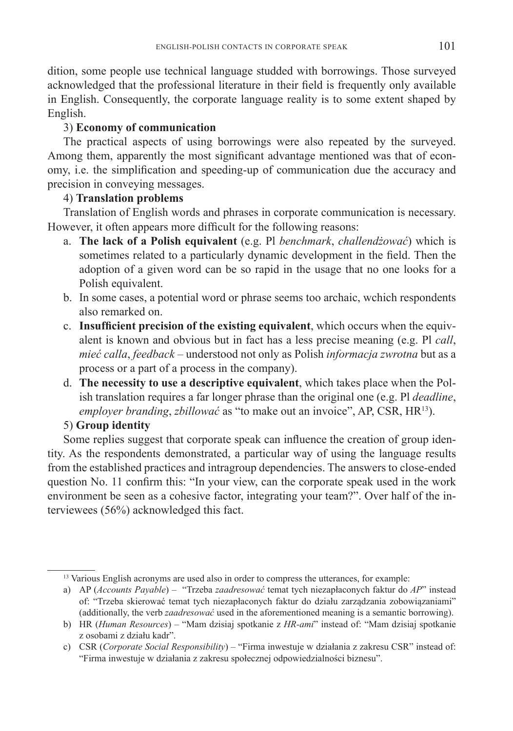dition, some people use technical language studded with borrowings. Those surveyed acknowledged that the professional literature in their field is frequently only available in English. Consequently, the corporate language reality is to some extent shaped by English.

# 3) **Economy of communication**

The practical aspects of using borrowings were also repeated by the surveyed. Among them, apparently the most significant advantage mentioned was that of economy, i.e. the simplification and speeding-up of communication due the accuracy and precision in conveying messages.

# 4) **Translation problems**

Translation of English words and phrases in corporate communication is necessary. However, it often appears more difficult for the following reasons:

- a. **The lack of a Polish equivalent** (e.g. Pl *benchmark*, *challendżować*) which is sometimes related to a particularly dynamic development in the field. Then the adoption of a given word can be so rapid in the usage that no one looks for a Polish equivalent.
- b. In some cases, a potential word or phrase seems too archaic, wchich respondents also remarked on.
- c. **Insufficient precision of the existing equivalent**, which occurs when the equivalent is known and obvious but in fact has a less precise meaning (e.g. Pl *call*, *mieć calla*, *feedback* – understood not only as Polish *informacja zwrotna* but as a process or a part of a process in the company).
- d. **The necessity to use a descriptive equivalent**, which takes place when the Polish translation requires a far longer phrase than the original one (e.g. Pl *deadline*, *employer branding*, *zbillować* as "to make out an invoice", AP, CSR, HR13).

# 5) **Group identity**

Some replies suggest that corporate speak can influence the creation of group identity. As the respondents demonstrated, a particular way of using the language results from the established practices and intragroup dependencies. The answers to close-ended question No. 11 confirm this: "In your view, can the corporate speak used in the work environment be seen as a cohesive factor, integrating your team?". Over half of the interviewees (56%) acknowledged this fact.

<sup>&</sup>lt;sup>13</sup> Various English acronyms are used also in order to compress the utterances, for example:

a) AP (*Accounts Payable*) – "Trzeba *zaadresować* temat tych niezapłaconych faktur do *AP*" instead of: "Trzeba skierować temat tych niezapłaconych faktur do działu zarządzania zobowiązaniami" (additionally, the verb *zaadresować* used in the aforementioned meaning is a semantic borrowing).

b) HR (*Human Resources*) – "Mam dzisiaj spotkanie z *HR-ami*" instead of: "Mam dzisiaj spotkanie z osobami z działu kadr".

c) CSR (*Corporate Social Responsibility*) – "Firma inwestuje w działania z zakresu CSR" instead of: "Firma inwestuje w działania z zakresu społecznej odpowiedzialności biznesu".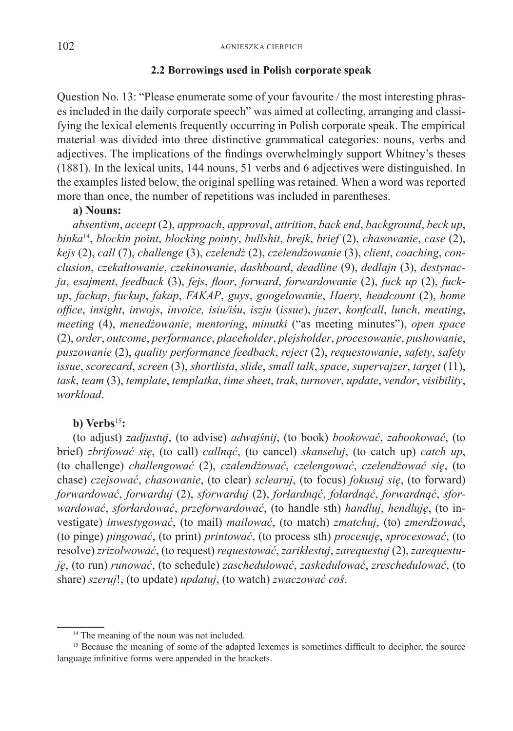### **2.2 Borrowings used in Polish corporate speak**

Question No. 13: "Please enumerate some of your favourite / the most interesting phrases included in the daily corporate speech" was aimed at collecting, arranging and classifying the lexical elements frequently occurring in Polish corporate speak. The empirical material was divided into three distinctive grammatical categories: nouns, verbs and adjectives. The implications of the findings overwhelmingly support Whitney's theses (1881). In the lexical units, 144 nouns, 51 verbs and 6 adjectives were distinguished. In the examples listed below, the original spelling was retained. When a word was reported more than once, the number of repetitions was included in parentheses.

### **a) Nouns:**

*absentism*, *accept* (2), *approach*, *approval*, *attrition*, *back end*, *background*, *beck up*, *binka*14, *blockin point*, *blocking pointy*, *bullshit*, *brejk*, *brief* (2), *chasowanie*, *case* (2), *kejs* (2), *call* (7), *challenge* (3), *czelendż* (2), *czelendżowanie* (3), *client*, *coaching*, *conclusion*, *czekałtowanie*, *czekinowanie*, *dashboard*, *deadline* (9), *dedlajn* (3), *destynacja*, *esajment*, *feedback* (3), *fejs*, *floor*, *forward*, *forwardowanie* (2), *fuck up* (2), *fuckup*, *fackap*, *fuckup*, *fakap*, *FAKAP*, *guys*, *googelowanie*, *Haery*, *headcount* (2), *home office*, *insight*, *inwojs*, *invoice, isiu/iśu*, *iszju* (*issue*), *juzer*, *konfcall*, *lunch*, *meating*, *meeting* (4), *menedżowanie*, *mentoring*, *minutki* ("as meeting minutes"), *open space* (2), *order*, *outcome*, *performance*, *placeholder*, *plejsholder*, *procesowanie*, *pushowanie*, *puszowanie* (2), *quality performance feedback*, *reject* (2), *requestowanie*, *safety*, *safety issue*, *scorecard*, *screen* (3), *shortlista*, *slide*, *small talk*, *space*, *supervajzer*, *target* (11), *task*, *team* (3), *template*, *templatka*, *time sheet*, *trak*, *turnover*, *update*, *vendor*, *visibility*, *workload*.

### **b) Verbs**<sup>15</sup>**:**

(to adjust) *zadjustuj*, (to advise) *adwajśnij*, (to book) *bookować*, *zabookować*, (to brief) *zbrifować się*, (to call) *callnąć*, (to cancel) *skanseluj*, (to catch up) *catch up*, (to challenge) *challengować* (2), *czalendżować*, *czelengować*, *czelendżować się*, (to chase) *czejsować*, *chasowanie*, (to clear) *sclearuj*, (to focus) *fokusuj się*, (to forward) *forwardować*, *forwarduj* (2), *sforwarduj* (2), *forłardnąć*, *fołardnąć*, *forwardnąć*, *sforwardować*, *sforłardować*, *przeforwardować*, (to handle sth) *handluj*, *hendluję*, (to investigate) *inwestygować*, (to mail) *mailować*, (to match) *zmatchuj*, (to) *zmerdżować*, (to pinge) *pingować*, (to print) *printować*, (to process sth) *procesuję*, *sprocesować*, (to resolve) *zrizolwować*, (to request) *requestować*, *zarikłestuj*, *zarequestuj* (2), *zarequestuję*, (to run) *runować*, (to schedule) *zaschedulować*, *zaskedulować*, *zreschedulować*, (to share) *szeruj*!, (to update) *updatuj*, (to watch) *zwaczować coś*.

<sup>&</sup>lt;sup>14</sup> The meaning of the noun was not included.

<sup>&</sup>lt;sup>15</sup> Because the meaning of some of the adapted lexemes is sometimes difficult to decipher, the source language infinitive forms were appended in the brackets.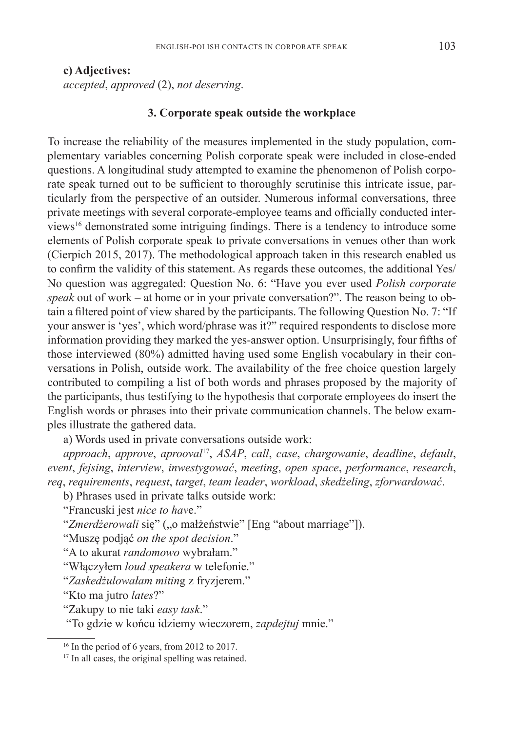### **c) Adjectives:**

*accepted*, *approved* (2), *not deserving*.

### **3. Corporate speak outside the workplace**

To increase the reliability of the measures implemented in the study population, complementary variables concerning Polish corporate speak were included in close-ended questions. A longitudinal study attempted to examine the phenomenon of Polish corporate speak turned out to be sufficient to thoroughly scrutinise this intricate issue, particularly from the perspective of an outsider. Numerous informal conversations, three private meetings with several corporate-employee teams and officially conducted interviews16 demonstrated some intriguing findings. There is a tendency to introduce some elements of Polish corporate speak to private conversations in venues other than work (Cierpich 2015, 2017). The methodological approach taken in this research enabled us to confirm the validity of this statement. As regards these outcomes, the additional Yes/ No question was aggregated: Question No. 6: "Have you ever used *Polish corporate speak* out of work – at home or in your private conversation?". The reason being to obtain a filtered point of view shared by the participants. The following Question No. 7: "If your answer is 'yes', which word/phrase was it?" required respondents to disclose more information providing they marked the yes-answer option. Unsurprisingly, four fifths of those interviewed (80%) admitted having used some English vocabulary in their conversations in Polish, outside work. The availability of the free choice question largely contributed to compiling a list of both words and phrases proposed by the majority of the participants, thus testifying to the hypothesis that corporate employees do insert the English words or phrases into their private communication channels. The below examples illustrate the gathered data.

a) Words used in private conversations outside work:

*approach*, *approve*, *aprooval*17, *ASAP*, *call*, *case*, *chargowanie*, *deadline*, *default*, *event*, *fejsing*, *interview*, *inwestygować*, *meeting*, *open space*, *performance*, *research*, *req*, *requirements*, *request*, *target*, *team leader*, *workload*, *skedżeling*, *zforwardować*.

b) Phrases used in private talks outside work:

"Francuski jest *nice to hav*e."

"*Zmerdżerowali* się" ("o małżeństwie" [Eng "about marriage"]).

"Muszę podjąć *on the spot decision*."

"A to akurat *randomowo* wybrałam."

"Włączyłem *loud speakera* w telefonie."

"*Zaskedżulowałam mitin*g z fryzjerem."

"Kto ma jutro *lates*?"

"Zakupy to nie taki *easy task*."

"To gdzie w końcu idziemy wieczorem, *zapdejtuj* mnie."

<sup>&</sup>lt;sup>16</sup> In the period of 6 years, from 2012 to 2017.

<sup>&</sup>lt;sup>17</sup> In all cases, the original spelling was retained.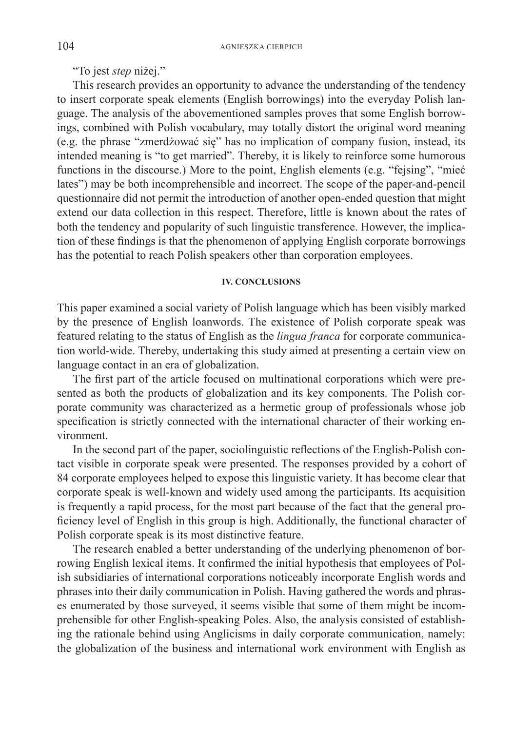"To jest *step* niżej."

This research provides an opportunity to advance the understanding of the tendency to insert corporate speak elements (English borrowings) into the everyday Polish language. The analysis of the abovementioned samples proves that some English borrowings, combined with Polish vocabulary, may totally distort the original word meaning (e.g. the phrase "zmerdżować się" has no implication of company fusion, instead, its intended meaning is "to get married". Thereby, it is likely to reinforce some humorous functions in the discourse.) More to the point, English elements (e.g. "fejsing", "mieć lates") may be both incomprehensible and incorrect. The scope of the paper-and-pencil questionnaire did not permit the introduction of another open-ended question that might extend our data collection in this respect. Therefore, little is known about the rates of both the tendency and popularity of such linguistic transference. However, the implication of these findings is that the phenomenon of applying English corporate borrowings has the potential to reach Polish speakers other than corporation employees.

### **IV. CONCLUSIONS**

This paper examined a social variety of Polish language which has been visibly marked by the presence of English loanwords. The existence of Polish corporate speak was featured relating to the status of English as the *lingua franca* for corporate communication world-wide. Thereby, undertaking this study aimed at presenting a certain view on language contact in an era of globalization.

The first part of the article focused on multinational corporations which were presented as both the products of globalization and its key components. The Polish corporate community was characterized as a hermetic group of professionals whose job specification is strictly connected with the international character of their working environment.

In the second part of the paper, sociolinguistic reflections of the English-Polish contact visible in corporate speak were presented. The responses provided by a cohort of 84 corporate employees helped to expose this linguistic variety. It has become clear that corporate speak is well-known and widely used among the participants. Its acquisition is frequently a rapid process, for the most part because of the fact that the general proficiency level of English in this group is high. Additionally, the functional character of Polish corporate speak is its most distinctive feature.

The research enabled a better understanding of the underlying phenomenon of borrowing English lexical items. It confirmed the initial hypothesis that employees of Polish subsidiaries of international corporations noticeably incorporate English words and phrases into their daily communication in Polish. Having gathered the words and phrases enumerated by those surveyed, it seems visible that some of them might be incomprehensible for other English-speaking Poles. Also, the analysis consisted of establishing the rationale behind using Anglicisms in daily corporate communication, namely: the globalization of the business and international work environment with English as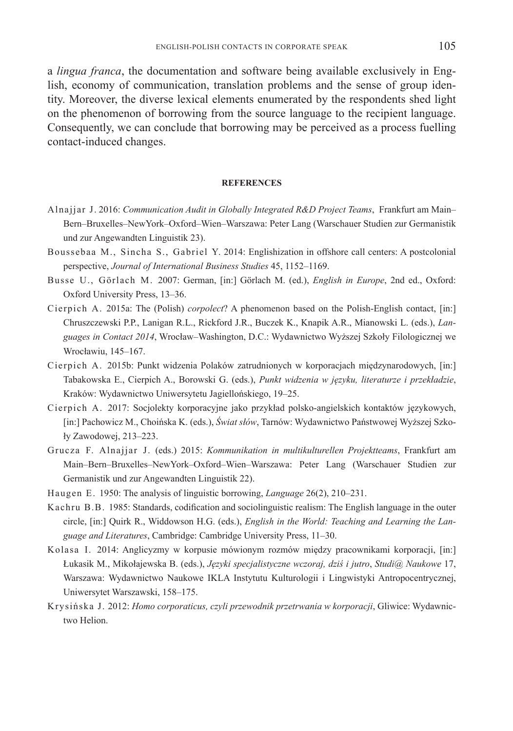a *lingua franca*, the documentation and software being available exclusively in English, economy of communication, translation problems and the sense of group identity. Moreover, the diverse lexical elements enumerated by the respondents shed light on the phenomenon of borrowing from the source language to the recipient language. Consequently, we can conclude that borrowing may be perceived as a process fuelling contact-induced changes.

#### **REFERENCES**

- Alnajjar J. 2016: *Communication Audit in Globally Integrated R&D Project Teams*, Frankfurt am Main– Bern–Bruxelles–NewYork–Oxford–Wien–Warszawa: Peter Lang (Warschauer Studien zur Germanistik und zur Angewandten Linguistik 23).
- Boussebaa M., Sincha S., Gabriel Y. 2014: Englishization in offshore call centers: A postcolonial perspective, *Journal of International Business Studies* 45, 1152–1169.
- Busse U., Görlach M. 2007: German, [in:] Görlach M. (ed.), *English in Europe*, 2nd ed., Oxford: Oxford University Press, 13–36.
- Cierpich A. 2015a: The (Polish) *corpolect*? A phenomenon based on the Polish-English contact, [in:] Chruszczewski P.P., Lanigan R.L., Rickford J.R., Buczek K., Knapik A.R., Mianowski L. (eds.), *Languages in Contact 2014*, Wrocław–Washington, D.C.: Wydawnictwo Wyższej Szkoły Filologicznej we Wrocławiu, 145–167.
- Cierpich A. 2015b: Punkt widzenia Polaków zatrudnionych w korporacjach międzynarodowych, [in:] Tabakowska E., Cierpich A., Borowski G. (eds.), *Punkt widzenia w języku, literaturze i przekładzie*, Kraków: Wydawnictwo Uniwersytetu Jagiellońskiego, 19–25.
- Cierpich A. 2017: Socjolekty korporacyjne jako przykład polsko-angielskich kontaktów językowych, [in:] Pachowicz M., Choińska K. (eds.), *Świat słów*, Tarnów: Wydawnictwo Państwowej Wyższej Szkoły Zawodowej, 213–223.
- Grucza F. Alnajjar J. (eds.) 2015: *Kommunikation in multikulturellen Projektteams*, Frankfurt am Main–Bern–Bruxelles–NewYork–Oxford–Wien–Warszawa: Peter Lang (Warschauer Studien zur Germanistik und zur Angewandten Linguistik 22).
- Haugen E. 1950: The analysis of linguistic borrowing, *Language* 26(2), 210–231.
- Kachru B.B. 1985: Standards, codification and sociolinguistic realism: The English language in the outer circle, [in:] Quirk R., Widdowson H.G. (eds.), *English in the World: Teaching and Learning the Language and Literatures*, Cambridge: Cambridge University Press, 11–30.
- Kolasa I. 2014: Anglicyzmy w korpusie mówionym rozmów między pracownikami korporacji, [in:] Łukasik M., Mikołajewska B. (eds.), *Języki specjalistyczne wczoraj, dziś i jutro*, *Studi@ Naukowe* 17, Warszawa: Wydawnictwo Naukowe IKLA Instytutu Kulturologii i Lingwistyki Antropocentrycznej, Uniwersytet Warszawski, 158–175.
- Krysińska J. 2012: *Homo corporaticus, czyli przewodnik przetrwania w korporacji*, Gliwice: Wydawnictwo Helion.